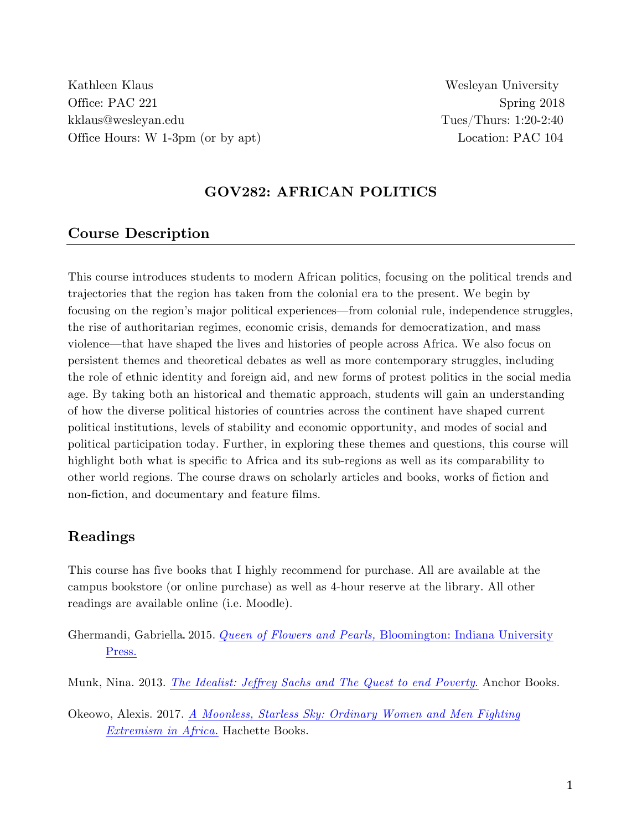Kathleen Klaus Wesleyan University Office: PAC 221 Spring 2018 kklaus@wesleyan.edu Tues/Thurs: 1:20-2:40 Office Hours: W 1-3pm (or by apt) Location: PAC 104

#### **GOV282: AFRICAN POLITICS**

#### **Course Description**

This course introduces students to modern African politics, focusing on the political trends and trajectories that the region has taken from the colonial era to the present. We begin by focusing on the region's major political experiences—from colonial rule, independence struggles, the rise of authoritarian regimes, economic crisis, demands for democratization, and mass violence—that have shaped the lives and histories of people across Africa. We also focus on persistent themes and theoretical debates as well as more contemporary struggles, including the role of ethnic identity and foreign aid, and new forms of protest politics in the social media age. By taking both an historical and thematic approach, students will gain an understanding of how the diverse political histories of countries across the continent have shaped current political institutions, levels of stability and economic opportunity, and modes of social and political participation today. Further, in exploring these themes and questions, this course will highlight both what is specific to Africa and its sub-regions as well as its comparability to other world regions. The course draws on scholarly articles and books, works of fiction and non-fiction, and documentary and feature films.

# **Readings**

This course has five books that I highly recommend for purchase. All are available at the campus bookstore (or online purchase) as well as 4-hour reserve at the library. All other readings are available online (i.e. Moodle).

- Ghermandi, Gabriella. 2015. *Queen of Flowers and Pearls,* Bloomington: Indiana University Press.
- Munk, Nina. 2013. *The Idealist: Jeffrey Sachs and The Quest to end Poverty*. Anchor Books.
- Okeowo, Alexis. 2017. *A Moonless, Starless Sky: Ordinary Women and Men Fighting Extremism in Africa.* Hachette Books.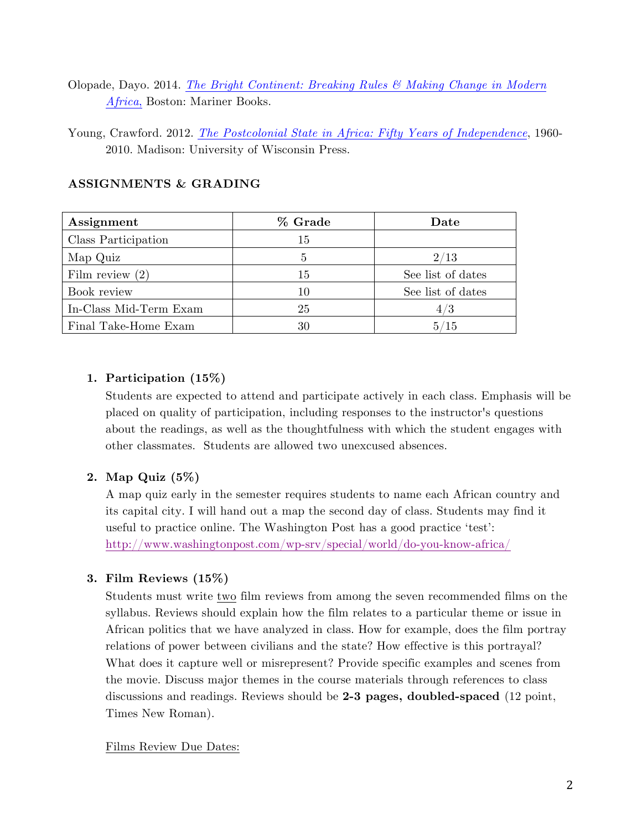Olopade, Dayo. 2014. *The Bright Continent: Breaking Rules & Making Change in Modern Africa*, Boston: Mariner Books.

Young, Crawford. 2012. *The Postcolonial State in Africa: Fifty Years of Independence*, 1960- 2010. Madison: University of Wisconsin Press.

| Assignment             | % Grade | Date              |
|------------------------|---------|-------------------|
| Class Participation    | 15      |                   |
| Map Quiz               | 5       | 2/13              |
| Film review $(2)$      | 15      | See list of dates |
| Book review            | 10      | See list of dates |
| In-Class Mid-Term Exam | 25      | 4/3               |
| Final Take-Home Exam   | 30      | 5/15              |

#### **ASSIGNMENTS & GRADING**

# **1. Participation (15%)**

Students are expected to attend and participate actively in each class. Emphasis will be placed on quality of participation, including responses to the instructor's questions about the readings, as well as the thoughtfulness with which the student engages with other classmates. Students are allowed two unexcused absences.

# **2. Map Quiz (5%)**

A map quiz early in the semester requires students to name each African country and its capital city. I will hand out a map the second day of class. Students may find it useful to practice online. The Washington Post has a good practice 'test': http://www.washingtonpost.com/wp-srv/special/world/do-you-know-africa/

# **3. Film Reviews (15%)**

Students must write two film reviews from among the seven recommended films on the syllabus. Reviews should explain how the film relates to a particular theme or issue in African politics that we have analyzed in class. How for example, does the film portray relations of power between civilians and the state? How effective is this portrayal? What does it capture well or misrepresent? Provide specific examples and scenes from the movie. Discuss major themes in the course materials through references to class discussions and readings. Reviews should be **2-3 pages, doubled-spaced** (12 point, Times New Roman).

#### Films Review Due Dates: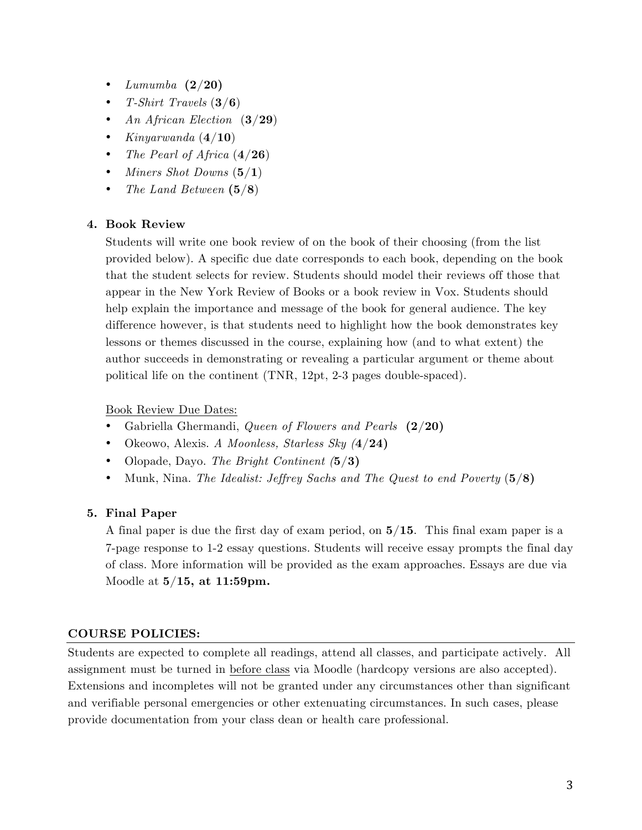- *Lumumba* **(2/20)**
- *T-Shirt Travels* (**3/6**)
- *An African Election* (**3/29**)
- *Kinyarwanda* (**4/10**)
- *The Pearl of Africa* (**4/26**)
- *Miners Shot Downs* (**5/1**)
- *The Land Between* **(5/8**)

#### **4. Book Review**

Students will write one book review of on the book of their choosing (from the list provided below). A specific due date corresponds to each book, depending on the book that the student selects for review. Students should model their reviews off those that appear in the New York Review of Books or a book review in Vox. Students should help explain the importance and message of the book for general audience. The key difference however, is that students need to highlight how the book demonstrates key lessons or themes discussed in the course, explaining how (and to what extent) the author succeeds in demonstrating or revealing a particular argument or theme about political life on the continent (TNR, 12pt, 2-3 pages double-spaced).

Book Review Due Dates:

- Gabriella Ghermandi, *Queen of Flowers and Pearls* **(2/20)**
- Okeowo, Alexis. *A Moonless, Starless Sky (***4/24)**
- Olopade, Dayo. *The Bright Continent (***5/3)**
- Munk, Nina. *The Idealist: Jeffrey Sachs and The Quest to end Poverty* (**5/8)**

# **5. Final Paper**

A final paper is due the first day of exam period, on **5/15**. This final exam paper is a 7-page response to 1-2 essay questions. Students will receive essay prompts the final day of class. More information will be provided as the exam approaches. Essays are due via Moodle at **5/15, at 11:59pm.**

#### **COURSE POLICIES:**

Students are expected to complete all readings, attend all classes, and participate actively. All assignment must be turned in before class via Moodle (hardcopy versions are also accepted). Extensions and incompletes will not be granted under any circumstances other than significant and verifiable personal emergencies or other extenuating circumstances. In such cases, please provide documentation from your class dean or health care professional.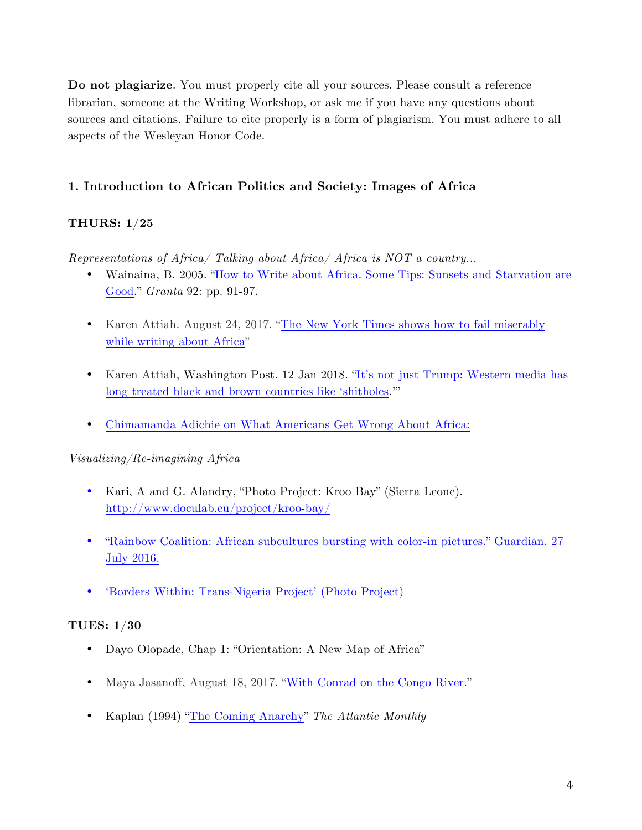**Do not plagiarize**. You must properly cite all your sources. Please consult a reference librarian, someone at the Writing Workshop, or ask me if you have any questions about sources and citations. Failure to cite properly is a form of plagiarism. You must adhere to all aspects of the Wesleyan Honor Code.

#### **1. Introduction to African Politics and Society: Images of Africa**

#### **THURS: 1/25**

*Representations of Africa/ Talking about Africa/ Africa is NOT a country…*

- Wainaina, B. 2005. "How to Write about Africa. Some Tips: Sunsets and Starvation are Good." *Granta* 92: pp. 91-97.
- Karen Attiah. August 24, 2017. "The New York Times shows how to fail miserably while writing about Africa"
- Karen Attiah, Washington Post. 12 Jan 2018. "It's not just Trump: Western media has long treated black and brown countries like 'shitholes.'"
- Chimamanda Adichie on What Americans Get Wrong About Africa:

*Visualizing/Re-imagining Africa*

- Kari, A and G. Alandry, "Photo Project: Kroo Bay" (Sierra Leone). http://www.doculab.eu/project/kroo-bay/
- "Rainbow Coalition: African subcultures bursting with color-in pictures." Guardian, 27 July 2016.
- 'Borders Within: Trans-Nigeria Project' (Photo Project)

#### **TUES: 1/30**

- Dayo Olopade, Chap 1: "Orientation: A New Map of Africa"
- Maya Jasanoff, August 18, 2017. "With Conrad on the Congo River."
- Kaplan (1994) "The Coming Anarchy" *The Atlantic Monthly*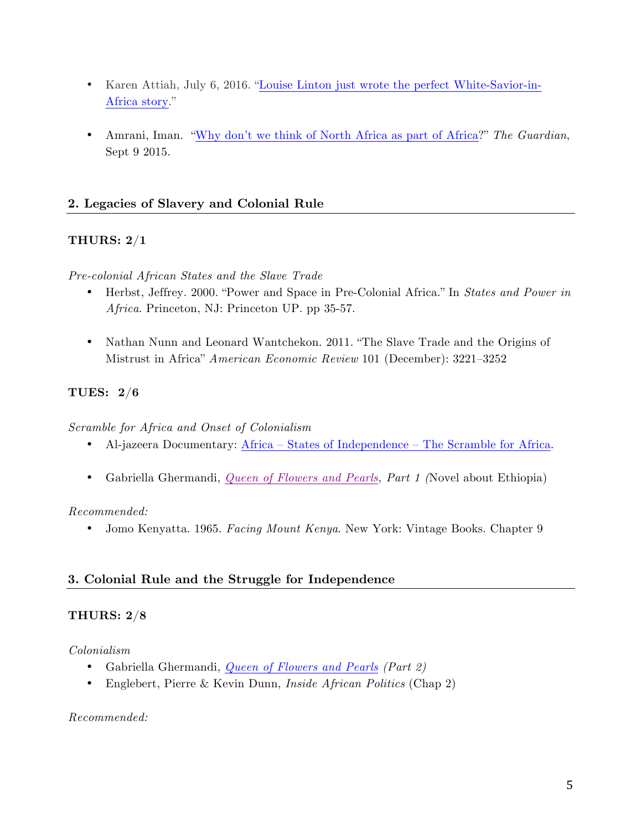- Karen Attiah, July 6, 2016. "Louise Linton just wrote the perfect White-Savior-in-Africa story."
- Amrani, Iman. "Why don't we think of North Africa as part of Africa?" *The Guardian*, Sept 9 2015.

# **2. Legacies of Slavery and Colonial Rule**

# **THURS: 2/1**

*Pre-colonial African States and the Slave Trade*

- Herbst, Jeffrey. 2000. "Power and Space in Pre-Colonial Africa." In *States and Power in Africa*. Princeton, NJ: Princeton UP. pp 35-57.
- Nathan Nunn and Leonard Wantchekon. 2011. "The Slave Trade and the Origins of Mistrust in Africa" *American Economic Review* 101 (December): 3221–3252

# **TUES: 2/6**

*Scramble for Africa and Onset of Colonialism*

- Al-jazeera Documentary: Africa States of Independence The Scramble for Africa.
- Gabriella Ghermandi, *Queen of Flowers and Pearls, Part 1 (*Novel about Ethiopia)

#### *Recommended:*

• Jomo Kenyatta. 1965. *Facing Mount Kenya*. New York: Vintage Books. Chapter 9

# **3. Colonial Rule and the Struggle for Independence**

# **THURS: 2/8**

*Colonialism*

- Gabriella Ghermandi, *Queen of Flowers and Pearls (Part 2)*
- Englebert, Pierre & Kevin Dunn, *Inside African Politics* (Chap 2)

#### *Recommended:*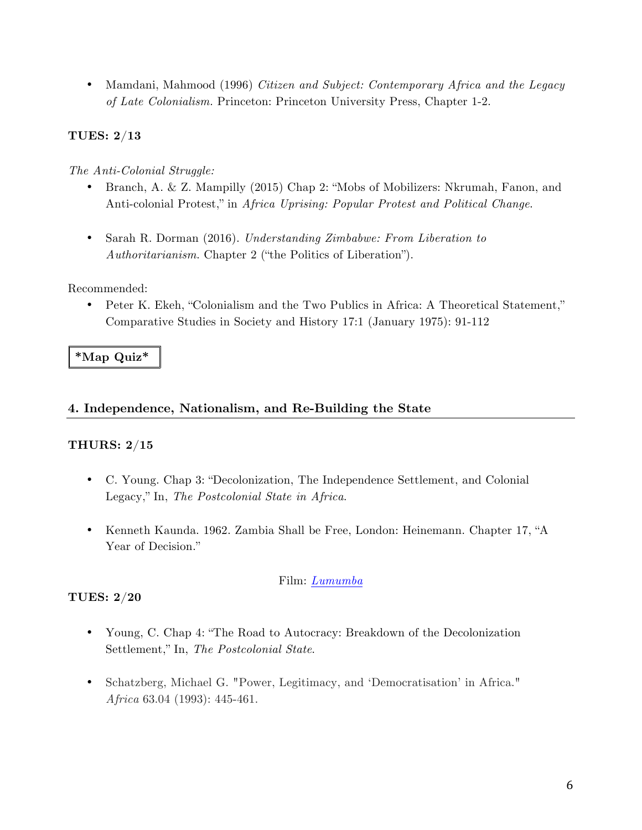• Mamdani, Mahmood (1996) *Citizen and Subject: Contemporary Africa and the Legacy of Late Colonialism.* Princeton: Princeton University Press, Chapter 1-2.

# **TUES: 2/13**

#### *The Anti-Colonial Struggle:*

- Branch, A. & Z. Mampilly (2015) Chap 2: "Mobs of Mobilizers: Nkrumah, Fanon, and Anti-colonial Protest," in *Africa Uprising: Popular Protest and Political Change*.
- Sarah R. Dorman (2016). *Understanding Zimbabwe: From Liberation to Authoritarianism*. Chapter 2 ("the Politics of Liberation").

#### Recommended:

• Peter K. Ekeh, "Colonialism and the Two Publics in Africa: A Theoretical Statement," Comparative Studies in Society and History 17:1 (January 1975): 91-112

# **\*Map Quiz\***

#### **4. Independence, Nationalism, and Re-Building the State**

#### **THURS: 2/15**

- C. Young. Chap 3: "Decolonization, The Independence Settlement, and Colonial Legacy," In, *The Postcolonial State in Africa*.
- Kenneth Kaunda. 1962. Zambia Shall be Free, London: Heinemann. Chapter 17, "A Year of Decision."

#### Film: *Lumumba*

# **TUES: 2/20**

- Young, C. Chap 4: "The Road to Autocracy: Breakdown of the Decolonization Settlement," In, *The Postcolonial State*.
- Schatzberg, Michael G. "Power, Legitimacy, and 'Democratisation' in Africa." *Africa* 63.04 (1993): 445-461.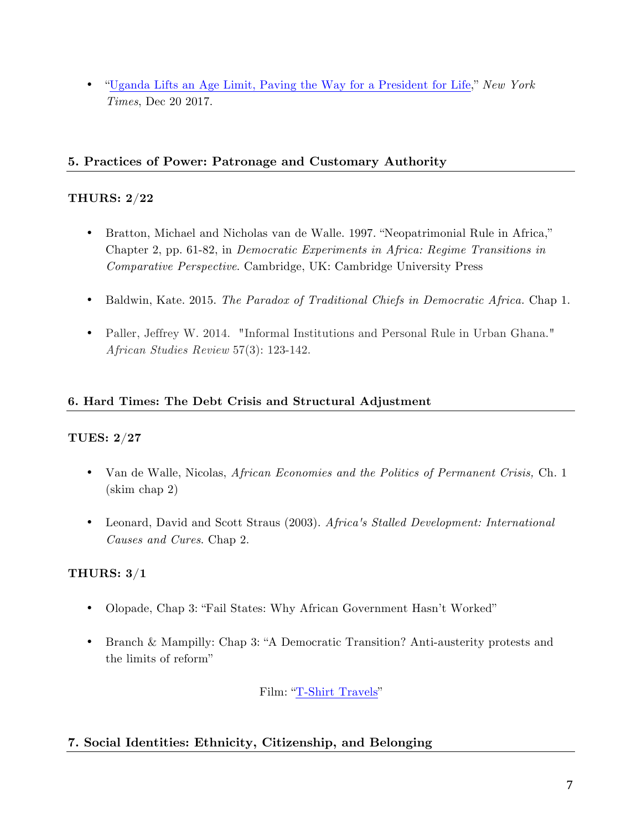• "Uganda Lifts an Age Limit, Paving the Way for a President for Life," *New York Times*, Dec 20 2017.

# **5. Practices of Power: Patronage and Customary Authority**

# **THURS: 2/22**

- Bratton, Michael and Nicholas van de Walle. 1997. "Neopatrimonial Rule in Africa," Chapter 2, pp. 61-82, in *Democratic Experiments in Africa: Regime Transitions in Comparative Perspective*. Cambridge, UK: Cambridge University Press
- Baldwin, Kate. 2015. *The Paradox of Traditional Chiefs in Democratic Africa.* Chap 1.
- Paller, Jeffrey W. 2014. "Informal Institutions and Personal Rule in Urban Ghana." *African Studies Review* 57(3): 123-142.

# **6. Hard Times: The Debt Crisis and Structural Adjustment**

# **TUES: 2/27**

- Van de Walle, Nicolas, *African Economies and the Politics of Permanent Crisis,* Ch. 1 (skim chap 2)
- Leonard, David and Scott Straus (2003). *Africa's Stalled Development: International Causes and Cures*. Chap 2.

# **THURS: 3/1**

- Olopade, Chap 3: "Fail States: Why African Government Hasn't Worked"
- Branch & Mampilly: Chap 3: "A Democratic Transition? Anti-austerity protests and the limits of reform"

Film: "T-Shirt Travels"

# **7. Social Identities: Ethnicity, Citizenship, and Belonging**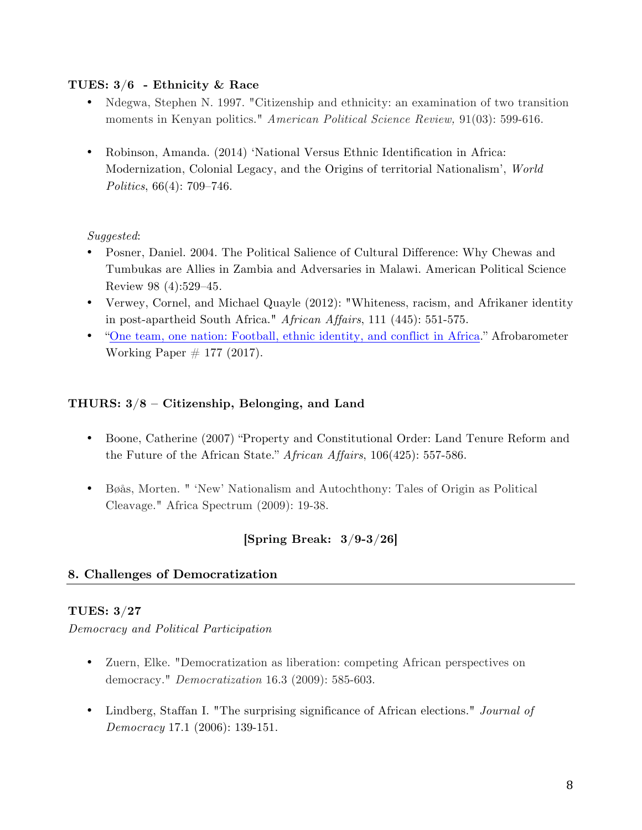#### **TUES: 3/6 - Ethnicity & Race**

- Ndegwa, Stephen N. 1997. "Citizenship and ethnicity: an examination of two transition moments in Kenyan politics." *American Political Science Review,* 91(03): 599-616.
- Robinson, Amanda. (2014) 'National Versus Ethnic Identification in Africa: Modernization, Colonial Legacy, and the Origins of territorial Nationalism', *World Politics*, 66(4): 709–746.

#### *Suggested*:

- Posner, Daniel. 2004. The Political Salience of Cultural Difference: Why Chewas and Tumbukas are Allies in Zambia and Adversaries in Malawi. American Political Science Review 98 (4):529–45*.*
- Verwey, Cornel, and Michael Quayle (2012): "Whiteness, racism, and Afrikaner identity in post-apartheid South Africa." *African Affairs*, 111 (445): 551-575.
- "One team, one nation: Football, ethnic identity, and conflict in Africa." Afrobarometer Working Paper  $\#$  177 (2017).

# **THURS: 3/8 – Citizenship, Belonging, and Land**

- Boone, Catherine (2007) "Property and Constitutional Order: Land Tenure Reform and the Future of the African State." *African Affairs*, 106(425): 557-586.
- Bøås, Morten. " 'New' Nationalism and Autochthony: Tales of Origin as Political Cleavage." Africa Spectrum (2009): 19-38.

# **[Spring Break: 3/9-3/26]**

# **8. Challenges of Democratization**

# **TUES: 3/27**

*Democracy and Political Participation*

- Zuern, Elke. "Democratization as liberation: competing African perspectives on democracy." *Democratization* 16.3 (2009): 585-603.
- Lindberg, Staffan I. "The surprising significance of African elections." *Journal of Democracy* 17.1 (2006): 139-151.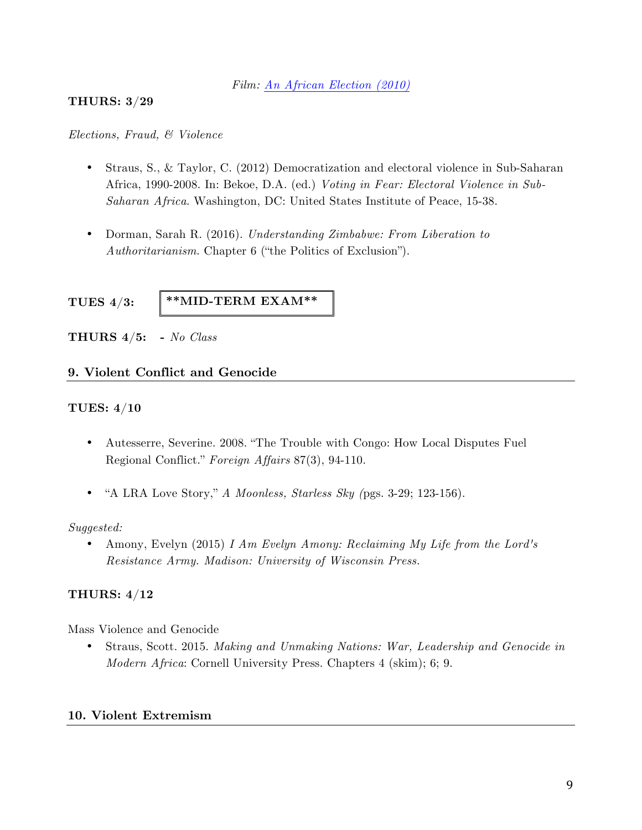#### *Film: An African Election (2010)*

#### **THURS: 3/29**

#### *Elections, Fraud, & Violence*

- Straus, S., & Taylor, C. (2012) Democratization and electoral violence in Sub-Saharan Africa, 1990-2008. In: Bekoe, D.A. (ed.) *Voting in Fear: Electoral Violence in Sub-Saharan Africa*. Washington, DC: United States Institute of Peace, 15-38.
- Dorman, Sarah R. (2016). *Understanding Zimbabwe: From Liberation to Authoritarianism*. Chapter 6 ("the Politics of Exclusion").

**TUES 4/3:** 

**\*\*MID-TERM EXAM\*\***

**THURS 4/5: -** *No Class*

#### **9. Violent Conflict and Genocide**

#### **TUES: 4/10**

- Autesserre, Severine. 2008. "The Trouble with Congo: How Local Disputes Fuel Regional Conflict." *Foreign Affairs* 87(3), 94-110.
- "A LRA Love Story," *A Moonless, Starless Sky (*pgs. 3-29; 123-156).

#### *Suggested:*

• Amony, Evelyn (2015) *I Am Evelyn Amony: Reclaiming My Life from the Lord's Resistance Army. Madison: University of Wisconsin Press.* 

#### **THURS: 4/12**

Mass Violence and Genocide

• Straus, Scott. 2015. *Making and Unmaking Nations: War, Leadership and Genocide in Modern Africa*: Cornell University Press. Chapters 4 (skim); 6; 9.

#### **10. Violent Extremism**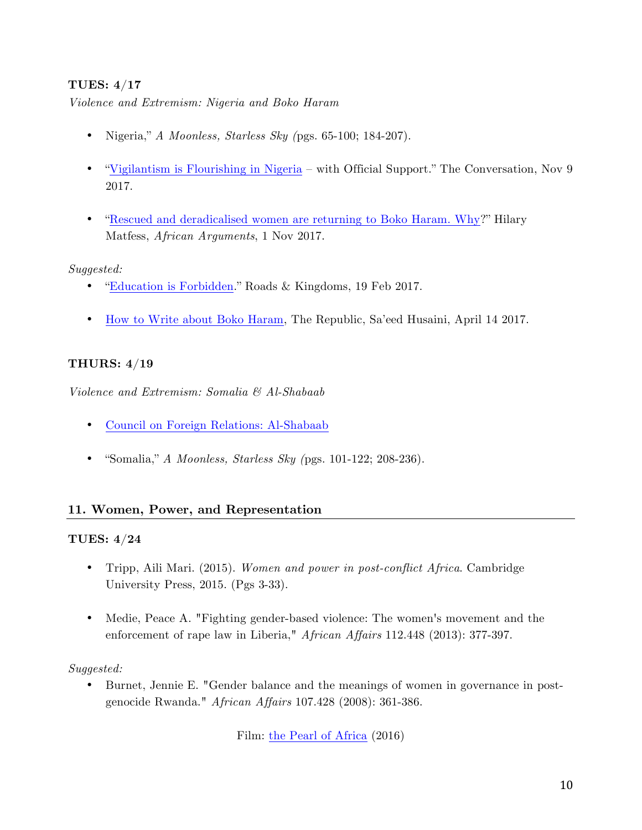# **TUES: 4/17**

*Violence and Extremism: Nigeria and Boko Haram* 

- Nigeria," *A Moonless, Starless Sky (*pgs. 65-100; 184-207).
- "Vigilantism is Flourishing in Nigeria with Official Support." The Conversation, Nov 9 2017.
- "Rescued and deradicalised women are returning to Boko Haram. Why?" Hilary Matfess, *African Arguments*, 1 Nov 2017.

# *Suggested:*

- "Education is Forbidden." Roads & Kingdoms, 19 Feb 2017.
- How to Write about Boko Haram, The Republic, Sa'eed Husaini, April 14 2017.

# **THURS: 4/19**

*Violence and Extremism: Somalia & Al-Shabaab* 

- Council on Foreign Relations: Al-Shabaab
- "Somalia," *A Moonless, Starless Sky (*pgs. 101-122; 208-236).

# **11. Women, Power, and Representation**

# **TUES: 4/24**

- Tripp, Aili Mari. (2015). *Women and power in post-conflict Africa*. Cambridge University Press, 2015. (Pgs 3-33).
- Medie, Peace A. "Fighting gender-based violence: The women's movement and the enforcement of rape law in Liberia," *African Affairs* 112.448 (2013): 377-397.

# *Suggested:*

• Burnet, Jennie E. "Gender balance and the meanings of women in governance in postgenocide Rwanda." *African Affairs* 107.428 (2008): 361-386.

Film: the Pearl of Africa (2016)